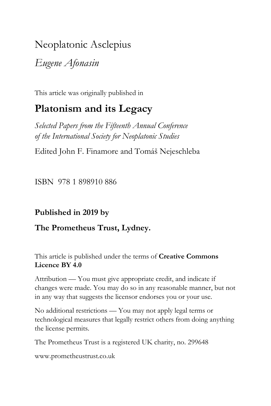# Neoplatonic Asclepius

*Eugene Afonasin*

This article was originally published in

## **Platonism and its Legacy**

*Selected Papers from the Fifteenth Annual Conference of the International Society for Neoplatonic Studies*

Edited John F. Finamore and Tomáš Nejeschleba

ISBN 978 1 898910 886

## **Published in 2019 by**

#### **The Prometheus Trust, Lydney.**

This article is published under the terms of **Creative Commons Licence BY 4.0**

Attribution — You must give appropriate credit, and indicate if changes were made. You may do so in any reasonable manner, but not in any way that suggests the licensor endorses you or your use.

No additional restrictions — You may not apply legal terms or technological measures that legally restrict others from doing anything the license permits.

The Prometheus Trust is a registered UK charity, no. 299648

[www.prometheustrust.co.uk](http://www.prometheustrust.co.uk/)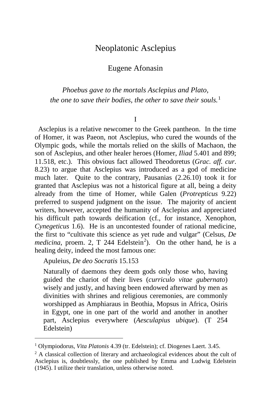### Neoplatonic Asclepius

Eugene Afonasin

*Phoebus gave to the mortals Asclepius and Plato, the one to save their bodies, the other to save their souls.*[1](#page-1-0)

I

 Asclepius is a relative newcomer to the Greek pantheon. In the time of Homer, it was Paeon, not Asclepius, who cured the wounds of the Olympic gods, while the mortals relied on the skills of Machaon, the son of Asclepius, and other healer heroes (Homer, *Iliad* 5.401 and 899; 11.518, etc.). This obvious fact allowed Theodoretus (*Grac. aff. cur*. 8.23) to argue that Asclepius was introduced as a god of medicine much later. Quite to the contrary, Pausanias (2.26.10) took it for granted that Asclepius was not a historical figure at all, being a deity already from the time of Homer, while Galen (*Protrepticus* 9.22) preferred to suspend judgment on the issue. The majority of ancient writers, however, accepted the humanity of Asclepius and appreciated his difficult path towards deification (cf., for instance, Xenophon, *Cynegeticus* 1.6). He is an uncontested founder of rational medicine, the first to "cultivate this science as yet rude and vulgar" (Celsus, *De medicina*, proem. [2](#page-1-1), T 244 Edelstein<sup>2</sup>). On the other hand, he is a healing deity, indeed the most famous one:

Apuleius, *De deo Socratis* 15.153

Naturally of daemons they deem gods only those who, having guided the chariot of their lives (*curriculo vitae gubernato*) wisely and justly, and having been endowed afterward by men as divinities with shrines and religious ceremonies, are commonly worshipped as Amphiaraus in Beothia, Mopsus in Africa, Osiris in Egypt, one in one part of the world and another in another part, Asclepius everywhere (*Aesculapius ubique*). (T 254 Edelstein)

<span id="page-1-0"></span><sup>1</sup> Olympiodorus, *Vita Platonis* 4.39 (tr. Edelstein); cf. Diogenes Laert. 3.45.

<span id="page-1-1"></span><sup>&</sup>lt;sup>2</sup> A classical collection of literary and archaeological evidences about the cult of Asclepius is, doubtlessly, the one published by Emma and Ludwig Edelstein (1945). I utilize their translation, unless otherwise noted.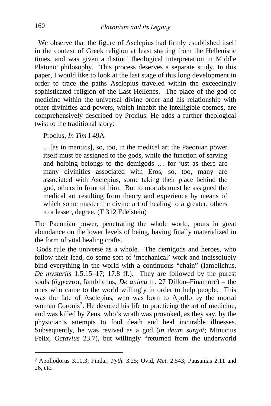We observe that the figure of Asclepius had firmly established itself in the context of Greek religion at least starting from the Hellenistic times, and was given a distinct theological interpretation in Middle Platonic philosophy. This process deserves a separate study. In this paper, I would like to look at the last stage of this long development in order to trace the paths Asclepius traveled within the exceedingly sophisticated religion of the Last Hellenes. The place of the god of medicine within the universal divine order and his relationship with other divinities and powers, which inhabit the intelligible cosmos, are comprehensively described by Proclus. He adds a further theological twist to the traditional story:

Proclus, *In Tim* I 49A

…[as in mantics], so, too, in the medical art the Paeonian power itself must be assigned to the gods, while the function of serving and helping belongs to the demigods … for just as there are many divinities associated with Eros, so, too, many are associated with Asclepius, some taking their place behind the god, others in front of him. But to mortals must be assigned the medical art resulting from theory and experience by means of which some master the divine art of healing to a greater, others to a lesser, degree. (T 312 Edelstein)

The Paeonian power, penetrating the whole world, pours in great abundance on the lower levels of being, having finally materialized in the form of vital healing crafts.

Gods rule the universe as a whole. The demigods and heroes, who follow their lead, do some sort of 'mechanical' work and indissolubly bind everything in the world with a continuous "chain" (Iamblichus, *De mysteriis* 1.5.15–17; 17.8 ff.). They are followed by the purest souls (ἄχραντοι, Iamblichus, *De anima* fr. 27 Dillon–Finamore) – the ones who came to the world willingly in order to help people. This was the fate of Asclepius, who was born to Apollo by the mortal woman Coronis<sup>[3](#page-2-0)</sup>. He devoted his life to practicing the art of medicine, and was killed by Zeus, who's wrath was provoked, as they say, by the physician's attempts to fool death and heal incurable illnesses. Subsequently, he was revived as a god (*in deum surgat*; Minucius Felix, *Octavius* 23.7), but willingly "returned from the underworld

<span id="page-2-0"></span>i, <sup>3</sup> Apollodorus 3.10.3; Pindar, *Pyth*. 3.25; Ovid, *Met*. 2.543; Pausanias 2.11 and 26, etc.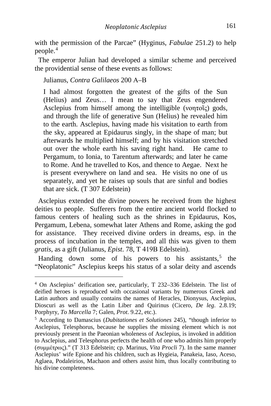with the permission of the Parcae" (Hyginus, *Fabulae* 251.2) to help people.[4](#page-3-0)

 The emperor Julian had developed a similar scheme and perceived the providential sense of these events as follows:

Julianus, *Contra Galilaeos* 200 А–В

I had almost forgotten the greatest of the gifts of the Sun (Helius) and Zeus… I mean to say that Zeus engendered Asclepius from himself among the intelligible (νοητοῖς) gods, and through the life of generative Sun (Helius) he revealed him to the earth. Asclepius, having made his visitation to earth from the sky, appeared at Epidaurus singly, in the shape of man; but afterwards he multiplied himself; and by his visitation stretched out over the whole earth his saving right hand. He came to Pergamum, to Ionia, to Tarentum afterwards; and later he came to Rome. And he travelled to Kos, and thence to Aegae. Next he is present everywhere on land and sea. He visits no one of us separately, and yet he raises up souls that are sinful and bodies that are sick. (T 307 Edelstein)

 Asclepius extended the divine powers he received from the highest deities to people. Sufferers from the entire ancient world flocked to famous centers of healing such as the shrines in Epidaurus, Kos, Pergamum, Lebena, somewhat later Athens and Rome, asking the god for assistance. They received divine orders in dreams, esp. in the process of incubation in the temples, and all this was given to them *gratis*, as a gift (Julianus, *Epist*. 78, T 419В Edelstein).

Handing down some of his powers to his assistants,  $5$  the "Neoplatonic" Asclepius keeps his status of a solar deity and ascends

<span id="page-3-0"></span><sup>4</sup> On Asclepius' deification see, particularly, T 232–336 Edelstein. The list of deified heroes is reproduced with occasional variants by numerous Greek and Latin authors and usually contains the names of Heracles, Dionysus, Asclepius, Dioscuri as well as the Latin Liber and Quirinus (Cicero, *De leg*. 2.8.19; Porphyry, *To Marcella* 7; Galen, *Prot*. 9.22, etc.).

<span id="page-3-1"></span><sup>5</sup> According to Damascius (*Dubitationes et Solutiones* 245), "though inferior to Asclepius, Telesphorus, because he supplies the missing element which is not previously present in the Paeonian wholeness of Asclepius, is invoked in addition to Asclepius, and Telesphorus perfects the health of one who admits him properly (συμμέτρως)." (T 313 Edelstein; cp. Marinus, *Vita Procli* 7). In the same manner Asclepius' wife Epione and his children, such as Hygieia, Panakeia, Iaso, Aceso, Aglaea, Podaleirios, Machaon and others assist him, thus locally contributing to his divine completeness.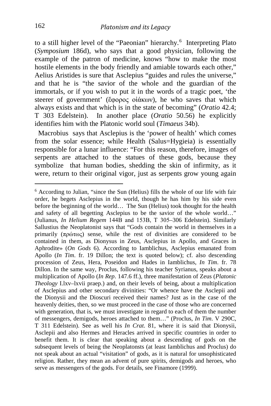to a still higher level of the "Paeonian" hierarchy.<sup>[6](#page-4-0)</sup> Interpreting Plato (*Symposium* 186d), who says that a good physician, following the example of the patron of medicine, knows "how to make the most hostile elements in the body friendly and amiable towards each other," Aelius Aristides is sure that Asclepius "guides and rules the universe," and that he is "the savior of the whole and the guardian of the immortals, or if you wish to put it in the words of a tragic poet, 'the steerer of government' (ἔφορος οἰάκων), he who saves that which always exists and that which is in the state of becoming" (*Oratio* 42.4; T 303 Edelstein). In another place (*Oratio* 50.56) he explicitly identifies him with the Platonic world soul (*Timaeus* 34b).

 Macrobius says that Asclepius is the 'power of health' which comes from the solar essence; while Health (Salus=Hygieia) is essentially responsible for a lunar influence: "For this reason, therefore, images of serpents are attached to the statues of these gods, because they symbolize that human bodies, shedding the skin of infirmity, as it were, return to their original vigor, just as serpents grow young again

j

<span id="page-4-0"></span><sup>6</sup> According to Julian, "since the Sun (Helius) fills the whole of our life with fair order, he begets Asclepius in the world, though he has him by his side even before the beginning of the world… The Sun (Helius) took thought for the health and safety of all begetting Asclepius to be the savior of the whole world…" (Julianus, *In Helium Regem* 144B and 153В, T 305–306 Edelstein). Similarly Sallustius the Neoplatonist says that "Gods contain the world in themselves in a primarily (πρώτως) sense, while the rest of divinities are considered to be contained in them, as Dionysus in Zeus, Asclepius in Apollo, and Graces in Aphrodite» (*On Gods* 6). According to Iamblichus, Asclepius emanated from Apollo (*In Tim*. fr. 19 Dillon; the text is quoted below); cf. also descending procession of Zeus, Hera, Poseidon and Hades in Iamblichus, *In Tim*. fr. 78 Dillon. In the same way, Proclus, following his teacher Syrianus, speaks about a multiplication of Apollo (*In Rep*. 147.6 ff.), three manifestation of Zeus (*Platonic Theology* I.lxv–lxvii praep.) and, on their levels of being, about a multiplication of Asclepius and other secondary divinities: "Or whence have the Asclepii and the Dionysii and the Dioscuri received their names? Just as in the case of the heavenly deities, then, so we must proceed in the case of those who are concerned with generation, that is, we must investigate in regard to each of them the number of messengers, demigods, heroes attached to them…" (Proclus, *In Tim*. V 290C, T 311 Edelstein). See as well his *In Crat*. 81, where it is said that Dionysii, Asclepii and also Hermes and Heracles arrived in specific countries in order to benefit them. It is clear that speaking about a descending of gods on the subsequent levels of being the Neoplatonsts (at least Iamblichus and Proclus) do not speak about an actual "visitation" of gods, as it is natural for unsophisticated religion. Rather, they mean an advent of pure spirits, demigods and heroes, who serve as messengers of the gods. For details, see Finamore (1999).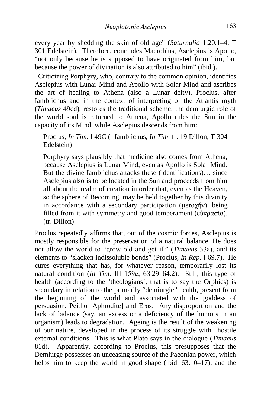every year by shedding the skin of old age" (*Saturnalia* 1.20.1–4; T 301 Edelstein). Therefore, concludes Macrobius, Asclepius is Apollo, "not only because he is supposed to have originated from him, but because the power of divination is also attributed to him" (ibid.).

 Criticizing Porphyry, who, contrary to the common opinion, identifies Asclepius with Lunar Mind and Apollo with Solar Mind and ascribes the art of healing to Athena (also a Lunar deity), Proclus, after Iamblichus and in the context of interpreting of the Atlantis myth (*Timaeus* 49cd), restores the traditional scheme: the demiurgic role of the world soul is returned to Athena, Apollo rules the Sun in the capacity of its Mind, while Asclepius descends from him:

Proclus, *In Tim*. I 49C (=Iamblichus, *In Tim*. fr. 19 Dillon; T 304 Edelstein)

Porphyry says plausibly that medicine also comes from Athena, because Asclepius is Lunar Mind, even as Apollo is Solar Mind. But the divine Iamblichus attacks these (identifications)… since Asclepius also is to be located in the Sun and proceeds from him all about the realm of creation in order that, even as the Heaven, so the sphere of Becoming, may be held together by this divinity in accordance with a secondary participation (μετοχήν), being filled from it with symmetry and good temperament (εὐκρασία). (tr. Dillon)

Proclus repeatedly affirms that, out of the cosmic forces, Asclepius is mostly responsible for the preservation of a natural balance. He does not allow the world to "grow old and get ill" (*Timaeus* 33а), and its elements to "slacken indissoluble bonds" (Proclus, *In Rep*. I 69.7). He cures everything that has, for whatever reason, temporarily lost its natural condition (*In Tim*. III 159е; 63.29–64.2). Still, this type of health (according to the 'theologians', that is to say the Orphics) is secondary in relation to the primarily "demiurgic" health, present from the beginning of the world and associated with the goddess of persuasion, Peitho [Aphrodite] and Eros. Any disproportion and the lack of balance (say, an excess or a deficiency of the humors in an organism) leads to degradation. Ageing is the result of the weakening of our nature, developed in the process of its struggle with hostile external conditions. This is what Plato says in the dialogue (*Timaeus* 81d). Apparently, according to Proclus, this presupposes that the Demiurge possesses an unceasing source of the Paeonian power, which helps him to keep the world in good shape (ibid.  $63.10-17$ ), and the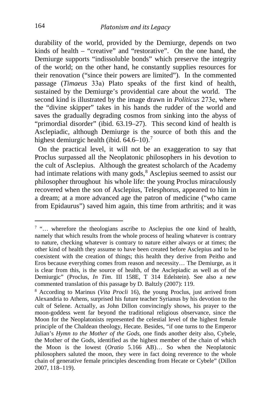durability of the world, provided by the Demiurge, depends on two kinds of health – "creative" and "restorative". On the one hand, the Demiurge supports "indissoluble bonds" which preserve the integrity of the world; on the other hand, he constantly supplies resources for their renovation ("since their powers are limited"). In the commented passage (*Timaeus* 33а) Plato speaks of the first kind of health, sustained by the Demiurge's providential care about the world. The second kind is illustrated by the image drawn in *Politicus* 273е, where the "divine skipper" takes in his hands the rudder of the world and saves the gradually degrading cosmos from sinking into the abyss of "primordial disorder" (ibid. 63.19–27). This second kind of health is Asclepiadic, although Demiurge is the source of both this and the highest demiurgic health (ibid. 64.6–10).<sup>[7](#page-6-0)</sup>

 On the practical level, it will not be an exaggeration to say that Proclus surpassed all the Neoplatonic philosophers in his devotion to the cult of Asclepius. Although the greatest scholarch of the Academy had intimate relations with many gods, $8$  Asclepius seemed to assist our philosopher throughout his whole life: the young Proclus miraculously recovered when the son of Asclepius, Telesphorus, appeared to him in a dream; at a more advanced age the patron of medicine ("who came from Epidaurus") saved him again, this time from arthritis; and it was

<span id="page-6-0"></span><sup>7</sup> "… wherefore the theologians ascribe to Asclepius the one kind of health, namely that which results from the whole process of healing whatever is contrary to nature, checking whatever is contrary to nature either always or at times; the other kind of health they assume to have been created before Asclepius and to be coexistent with the creation of things; this health they derive from Peitho and Eros because everything comes from reason and necessity… The Demiurge, as it is clear from this, is the source of health, of the Asclepiadic as well as of the Demiurgic" (Proclus, *In Tim*. III 158E, T 314 Edelstein). See also a new commented translation of this passage by D. Baltzly (2007): 119.

<span id="page-6-1"></span><sup>8</sup> According to Marinus (*Vita Procli* 16), the young Proclus, just arrived from Alexandria to Athens, surprised his future teacher Syrianus by his devotion to the cult of Selene. Actually, as John Dillon convincingly shows, his prayer to the moon-goddess went far beyond the traditional religious observance, since the Moon for the Neoplatonists represented the celestial level of the highest female principle of the Chaldean theology, Hecate. Besides, "if one turns to the Emperor Julian's *Hymn to the Mother of the Gods*, one finds another deity also, Cybele, the Mother of the Gods, identified as the highest member of the chain of which the Moon is the lowest (*Oratio* 5.166 AB)… So when the Neoplatonic philosophers saluted the moon, they were in fact doing reverence to the whole chain of generative female principles descending from Hecate or Cybele" (Dillon 2007, 118–119).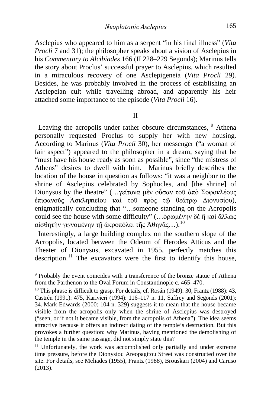Asclepius who appeared to him as a serpent "in his final illness" (*Vita Procli* 7 and 31); the philosopher speaks about a vision of Asclepius in his *Commentary to Alcibiades* 166 (II 228–229 Segonds); Marinus tells the story about Proclus' successful prayer to Asclepius, which resulted in a miraculous recovery of one Asclepigeneia (*Vita Procli* 29). Besides, he was probably involved in the process of establishing an Asclepeian cult while travelling abroad, and apparently his heir attached some importance to the episode (*Vita Procli* 16).

#### II

Leaving the acropolis under rather obscure circumstances, <sup>[9](#page-7-0)</sup> Athena personally requested Proclus to supply her with new housing. According to Marinus (*Vita Procli* 30), her messenger ("a woman of fair aspect") appeared to the philosopher in a dream, saying that he "must have his house ready as soon as possible", since "the mistress of Athens" desires to dwell with him. Marinus briefly describes the location of the house in question as follows: "it was a neighbor to the shrine of Asclepius celebrated by Sophocles, and [the shrine] of Dionysus by the theatre" (…γείτονα μὲν οὖσαν τοῦ ἀπὸ Σοφοκλέους ἐπιφανοῦς Ἀσκληπιείου καὶ τοῦ πρὸς τῷ θεάτρῳ Διονυσίου), enigmatically concluding that "…someone standing on the Acropolis could see the house with some difficulty" (…ὁρωμένην δὲ ἢ καὶ ἄλλως αἰσθητὴν γιγνομένην τῇ ἀκροπόλει τῆς Ἀθηνᾶς…). <sup>[10](#page-7-1)</sup>

 Interestingly, a large building complex on the southern slope of the Acropolis, located between the Odeum of Herodes Atticus and the Theater of Dionysus, excavated in 1955, perfectly matches this description.<sup>[11](#page-7-2)</sup> The excavators were the first to identify this house,

<span id="page-7-0"></span> $9$  Probably the event coincides with a transference of the bronze statue of Athena from the Parthenon to the Oval Forum in Constantinople c.  $465-470$ .

<span id="page-7-1"></span><sup>&</sup>lt;sup>10</sup> This phrase is difficult to grasp. For details, cf. Rosán (1949): 30, Frantz (1988): 43, Castrén (1991): 475, Karivieri (1994): 116–117 n. 11, Saffrey and Segonds (2001): 34. Mark Edwards (2000: 104 n. 329) suggests it to mean that the house became visible from the acropolis only when the shrine of Asclepius was destroyed ("seen, or if not it became visible, from the acropolis of Athena"). The idea seems attractive because it offers an indirect dating of the temple's destruction. But this provokes a further question: why Marinus, having mentioned the demolishing of the temple in the same passage, did not simply state this?

<span id="page-7-2"></span><sup>&</sup>lt;sup>11</sup> Unfortunately, the work was accomplished only partially and under extreme time pressure, before the Dionysiou Areopagitou Street was constructed over the site. For details, see Meliades (1955), Frantz (1988), Brouskari (2004) and Caruso (2013).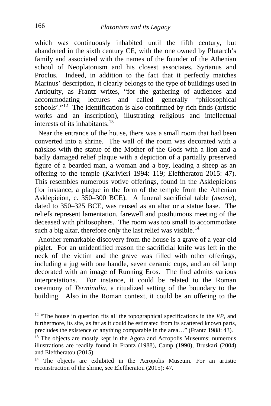which was continuously inhabited until the fifth century, but abandoned in the sixth century CE, with the one owned by Plutarch's family and associated with the names of the founder of the Athenian school of Neoplatonism and his closest associates, Syrianus and Proclus. Indeed, in addition to the fact that it perfectly matches Marinus' description, it clearly belongs to the type of buildings used in Antiquity, as Frantz writes, "for the gathering of audiences and accommodating lectures and called generally 'philosophical schools'."[12](#page-8-0) The identification is also confirmed by rich finds (artistic works and an inscription), illustrating religious and intellectual interests of its inhabitants.[13](#page-8-1)

 Near the entrance of the house, there was a small room that had been converted into a shrine. The wall of the room was decorated with a naïskos with the statue of the Mother of the Gods with a lion and a badly damaged relief plaque with a depiction of a partially preserved figure of a bearded man, a woman and a boy, leading a sheep as an offering to the temple (Karivieri 1994: 119; Eleftheratou 2015: 47). This resembles numerous votive offerings, found in the Asklepieions (for instance, a plaque in the form of the temple from the Athenian Asklepieion, c. 350–300 BCE). A funeral sacrificial table (*mensa*), dated to 350–325 BCE, was reused as an altar or a statue base. The reliefs represent lamentation, farewell and posthumous meeting of the deceased with philosophers. The room was too small to accommodate such a big altar, therefore only the last relief was visible.<sup>[14](#page-8-2)</sup>

 Another remarkable discovery from the house is a grave of a year-old piglet. For an unidentified reason the sacrificial knife was left in the neck of the victim and the grave was filled with other offerings, including a jug with one handle, seven ceramic cups, and an oil lamp decorated with an image of Running Eros. The find admits various interpretations. For instance, it could be related to the Roman ceremony of *Terminalia,* a ritualized setting of the boundary to the building. Also in the Roman context, it could be an offering to the

<span id="page-8-0"></span><sup>12</sup> "The house in question fits all the topographical specifications in the *VP*, and furthermore, its site, as far as it could be estimated from its scattered known parts, precludes the existence of anything comparable in the area…" (Frantz 1988: 43).

<span id="page-8-1"></span><sup>&</sup>lt;sup>13</sup> The objects are mostly kept in the Agora and Acropolis Museums; numerous illustrations are readily found in Frantz (1988), Camp (1990), Bruskari (2004) and Eleftheratou (2015).

<span id="page-8-2"></span><sup>&</sup>lt;sup>14</sup> The objects are exhibited in the Acropolis Museum. For an artistic reconstruction of the shrine, see Eleftheratou (2015): 47.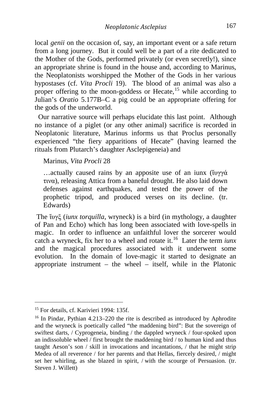local *genii* on the occasion of, say, an important event or a safe return from a long journey. But it could well be a part of a rite dedicated to the Mother of the Gods, performed privately (or even secretly!), since an appropriate shrine is found in the house and, according to Marinus, the Neoplatonists worshipped the Mother of the Gods in her various hypostases (cf. *Vita Procli* 19). The blood of an animal was also a proper offering to the moon-goddess or Hecate,<sup>[15](#page-9-0)</sup> while according to Julian's *Oratio* 5.177B–C a pig could be an appropriate offering for the gods of the underworld.

 Our narrative source will perhaps elucidate this last point. Although no instance of a piglet (or any other animal) sacrifice is recorded in Neoplatonic literature, Marinus informs us that Proclus personally experienced "the fiery apparitions of Hecate" (having learned the rituals from Plutarch's daughter Asclepigeneia) and

Marinus, *Vita Procli* 28

…actually caused rains by an apposite use of an iunx (ἴυγγά τινα), releasing Attica from a baneful drought. He also laid down defenses against earthquakes, and tested the power of the prophetic tripod, and produced verses on its decline. (tr. Edwards)

The ἴυγξ (*iunx torquilla*, wryneck) is a bird (in mythology, a daughter of Pan and Echo) which has long been associated with love-spells in magic. In order to influence an unfaithful lover the sorcerer would catch a wryneck, fix her to a wheel and rotate it.[16](#page-9-1) Later the term *iunx* and the magical procedures associated with it underwent some evolution. In the domain of love-magic it started to designate an appropriate instrument – the wheel – itself, while in the Platonic

<span id="page-9-0"></span><sup>&</sup>lt;sup>15</sup> For details, cf. Karivieri 1994: 135f.

<span id="page-9-1"></span><sup>16</sup> In Pindar, Pythian 4.213–220 the rite is described as introduced by Aphrodite and the wryneck is poetically called "the maddening bird": But the sovereign of swiftest darts, / Cyprogeneia, binding / the dappled wryneck / four-spoked upon an indissoluble wheel / first brought the maddening bird / to human kind and thus taught Aeson's son / skill in invocations and incantations, / that he might strip Medea of all reverence / for her parents and that Hellas, fiercely desired, / might set her whirling, as she blazed in spirit, / with the scourge of Persuasion. (tr. Steven J. Willett)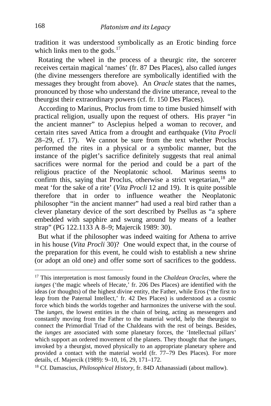tradition it was understood symbolically as an Erotic binding force which links men to the gods.<sup>[17](#page-10-0)</sup>

 Rotating the wheel in the process of a theurgic rite, the sorcerer receives certain magical 'names' (fr. 87 Des Places), also called *iunges* (the divine messengers therefore are symbolically identified with the messages they brought from above). An *Oracle* states that the names, pronounced by those who understand the divine utterance, reveal to the theurgist their extraordinary powers (cf. fr. 150 Des Places).

 According to Marinus, Proclus from time to time busied himself with practical religion, usually upon the request of others. His prayer "in the ancient manner" to Asclepius helped a woman to recover, and certain rites saved Attica from a drought and earthquake (*Vita Procli* 28–29, cf. 17). We cannot be sure from the text whether Proclus performed the rites in a physical or a symbolic manner, but the instance of the piglet's sacrifice definitely suggests that real animal sacrifices were normal for the period and could be a part of the religious practice of the Neoplatonic school. Marinus seems to religious practice of the Neoplatonic school. confirm this, saying that Proclus, otherwise a strict vegetarian,  $18$  ate meat 'for the sake of a rite' (*Vita Procli* 12 and 19). It is quite possible therefore that in order to influence weather the Neoplatonic philosopher "in the ancient manner" had used a real bird rather than a clever planetary device of the sort described by Psellus as "a sphere embedded with sapphire and swung around by means of a leather strap" (PG 122.1133 A 8–9; Majercik 1989: 30).

 But what if the philosopher was indeed waiting for Athena to arrive in his house (*Vita Procli* 30)? One would expect that, in the course of the preparation for this event, he could wish to establish a new shrine (or adopt an old one) and offer some sort of sacrifices to the goddess.

<span id="page-10-0"></span><sup>17</sup> This interpretation is most famously found in the *Chaldean Oracles*, where the *iunges* ('the magic wheels of Hecate,' fr. 206 Des Places) are identified with the ideas (or thoughts) of the highest divine entity, the Father, while Eros ('the first to leap from the Paternal Intellect,' fr. 42 Des Places) is understood as a cosmic force which binds the worlds together and harmonizes the universe with the soul. The *iunges*, the lowest entities in the chain of being, acting as messengers and constantly moving from the Father to the material world, help the theurgist to connect the Primordial Triad of the Chaldeans with the rest of beings. Besides, the *iunges* are associated with some planetary forces, the 'Intellectual pillars' which support an ordered movement of the planets. They thought that the *iunges*, invoked by a theurgist, moved physically to an appropriate planetary sphere and provided a contact with the material world (fr. 77–79 Des Places). For more details, cf. Majercik (1989): 9–10, 16, 29, 171–172.

<span id="page-10-1"></span><sup>18</sup> Cf. Damascius, *Philosophical History*, fr. 84D Athanassiadi (about mallow).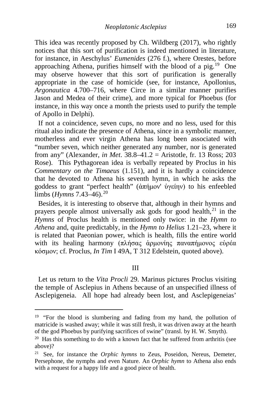This idea was recently proposed by Ch. Wildberg (2017), who rightly notices that this sort of purification is indeed mentioned in literature, for instance, in Aeschylus' *Eumenides* (276 f.), where Orestes, before approaching Athena, purifies himself with the blood of a pig.[19](#page-11-0) One may observe however that this sort of purification is generally appropriate in the case of homicide (see, for instance, Apollonius, *Argonautica* 4.700–716, where Circe in a similar manner purifies Jason and Medea of their crime), and more typical for Phoebus (for instance, in this way once a month the priests used to purify the temple of Apollo in Delphi).

 If not a coincidence, seven cups, no more and no less, used for this ritual also indicate the presence of Athena, since in a symbolic manner, motherless and ever virgin Athena has long been associated with "number seven, which neither generated any number, nor is generated from any" (Alexander, *in Met*. 38.8–41.2 = Aristotle, fr. 13 Ross; 203 Rose). This Pythagorean idea is verbally repeated by Proclus in his *Commentary on the Timaeus* (1.151), and it is hardly a coincidence that he devoted to Athena his seventh hymn, in which he asks the goddess to grant "perfect health" (ἀπήμον' ὑγείην) to his enfeebled limbs (*Hymns* 7.43–46).<sup>[20](#page-11-1)</sup>

 Besides, it is interesting to observe that, although in their hymns and prayers people almost universally ask gods for good health, $^{21}$  $^{21}$  $^{21}$  in the *Hymns* of Proclus health is mentioned only twice: in the *Hymn to Athena* and, quite predictably, in the *Hymn to Helius* 1.21–23, where it is related that Paeonian power, which is health, fills the entire world with its healing harmony (πλήσας ἁρμονίης παναπήμονος εὐρέα κόσμον; cf. Proclus, *In Tim* I 49A, T 312 Edelstein, quoted above).

#### III

 Let us return to the *Vita Procli* 29. Marinus pictures Proclus visiting the temple of Asclepius in Athens because of an unspecified illness of Asclepigeneia. All hope had already been lost, and Asclepigeneias'

<span id="page-11-0"></span><sup>&</sup>lt;sup>19</sup> "For the blood is slumbering and fading from my hand, the pollution of matricide is washed away; while it was still fresh, it was driven away at the hearth of the god Phoebus by purifying sacrifices of swine" (transl. by H. W. Smyth).

<span id="page-11-1"></span> $20$  Has this something to do with a known fact that he suffered from arthritis (see above)?

<span id="page-11-2"></span><sup>21</sup> See, for instance the *Orphic hymns* to Zeus, Poseidon, Nereus, Demeter, Persephone, the nymphs and even Nature. An *Orphic hymn* to Athena also ends with a request for a happy life and a good piece of health.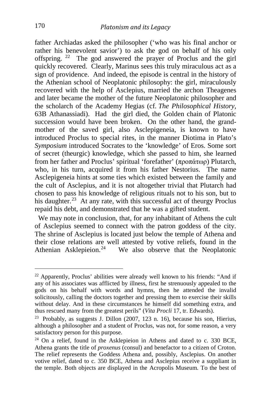father Archiadas asked the philosopher ('who was his final anchor or rather his benevolent savior') to ask the god on behalf of his only offspring. [22](#page-12-0) The god answered the prayer of Proclus and the girl quickly recovered. Clearly, Marinus sees this truly miraculous act as a sign of providence. And indeed, the episode is central in the history of the Athenian school of Neoplatonic philosophy: the girl, miraculously recovered with the help of Asclepius, married the archon Theagenes and later became the mother of the future Neoplatonic philosopher and the scholarch of the Academy Hegias (cf. *The Philosophical History,* 63B Athanassiadi). Had the girl died, the Golden chain of Platonic succession would have been broken. On the other hand, the grandmother of the saved girl, also Asclepigeneia, is known to have introduced Proclus to special rites, in the manner Diotima in Plato's *Symposium* introduced Socrates to the 'knowledge' of Eros. Some sort of secret (theurgic) knowledge, which she passed to him, she learned from her father and Proclus' spiritual 'forefather' (προπάτωρ) Plutarch, who, in his turn, acquired it from his father Nestorius. The name Asclepigeneia hints at some ties which existed between the family and the cult of Asclepius, and it is not altogether trivial that Plutarch had chosen to pass his knowledge of religious rituals not to his son, but to his daughter.<sup>23</sup> At any rate, with this successful act of theurgy Proclus repaid his debt, and demonstrated that he was a gifted student.

 We may note in conclusion, that, for any inhabitant of Athens the cult of Asclepius seemed to connect with the patron goddess of the city. The shrine of Asclepius is located just below the temple of Athena and their close relations are well attested by votive reliefs, found in the Athenian Asklepieion.<sup>[24](#page-12-2)</sup> We also observe that the Neoplatonic

<span id="page-12-0"></span> $22$  Apparently, Proclus' abilities were already well known to his friends: "And if any of his associates was afflicted by illness, first he strenuously appealed to the gods on his behalf with words and hymns, then he attended the invalid solicitously, calling the doctors together and pressing them to exercise their skills without delay. And in these circumstances he himself did something extra, and thus rescued many from the greatest perils" (Vita Procli 17, tr. Edwards).

<span id="page-12-1"></span><sup>&</sup>lt;sup>23</sup> Probably, as suggests J. Dillon (2007, 123 n. 16), because his son, Hierius, although a philosopher and a student of Proclus, was not, for some reason, a very satisfactory person for this purpose.<br><sup>24</sup> On a relief, found in the Asklepieion in Athens and dated to c. 330 BCE,

<span id="page-12-2"></span>Athena grants the title of *proxenus* (consul) and benefactor to a citizen of Croton. The relief represents the Goddess Athena and, possibly, Asclepius. On another votive relief, dated to c. 350 BCE, Athena and Asclepius receive a suppliant in the temple. Both objects are displayed in the Acropolis Museum. To the best of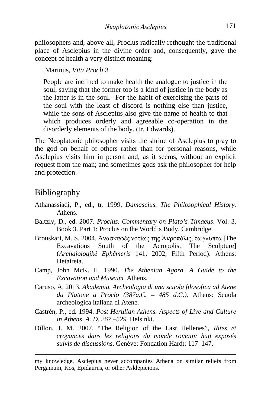philosophers and, above all, Proclus radically rethought the traditional place of Asclepius in the divine order and, consequently, gave the concept of health a very distinct meaning:

Marinus, *Vita Procli* 3

People are inclined to make health the analogue to justice in the soul, saying that the former too is a kind of justice in the body as the latter is in the soul. For the habit of exercising the parts of the soul with the least of discord is nothing else than justice, while the sons of Asclepius also give the name of health to that which produces orderly and agreeable co-operation in the disorderly elements of the body. (tr. Edwards).

The Neoplatonic philosopher visits the shrine of Asclepius to pray to the god on behalf of others rather than for personal reasons, while Asclepius visits him in person and, as it seems, without an explicit request from the man; and sometimes gods ask the philosopher for help and protection.

### Bibliography

- Athanassiadi, P., ed., tr. 1999. *Damascius. The Philosophical History.* Athens.
- Baltzly, D., ed. 2007. *Proclus. Commentary on Plato's Timaeus*. Vol. 3. Book 3. Part 1: Proclus on the World's Body. Cambridge.
- Brouskari, M. S. 2004. Ἀνασκαφές νοτίως της Ἀκροπόλις, τα γλυπτά [The Excavations South of the Acropolis, The Sculpture] (*Archaiologikê Ephêmeris* 141, 2002, Fifth Period). Athens: Hetaireia.
- Camp, John McK. II. 1990. *The Athenian Agora. A Guide to the Excavation and Museum.* Athens.
- Caruso, A. 2013. *Akademia. Archeologia di una scuola filosofica ad Atene da Platone a Proclo (387a.C. – 485 d.C.).* Athens: Scuola archeologica italiana di Atene.
- Castrén, P., ed. 1994. *Post-Herulian Athens. Aspects of Live and Culture in Athens, A. D. 267 –529.* Helsinki.
- Dillon, J. M. 2007. "The Religion of the Last Hellenes", *Rites et croyances dans les religions du monde romain: huit exposés suivis de discussions*. Genève: Fondation Hardt: 117–147.

 my knowledge, Asclepius never accompanies Athena on similar reliefs from Pergamum, Kos, Epidaurus, or other Asklepieions.